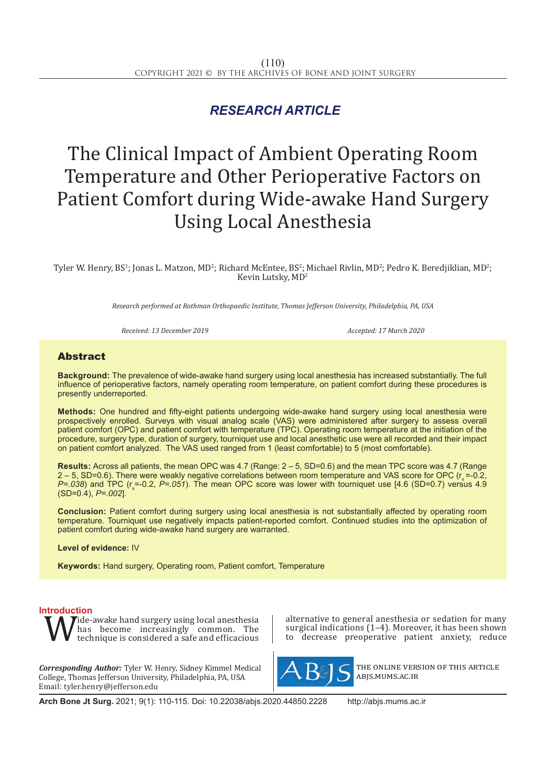## *RESEARCH ARTICLE*

# The Clinical Impact of Ambient Operating Room Temperature and Other Perioperative Factors on Patient Comfort during Wide-awake Hand Surgery Using Local Anesthesia

Tyler W. Henry, BS<sup>1</sup>; Jonas L. Matzon, MD<sup>2</sup>; Richard McEntee, BS<sup>2</sup>; Michael Rivlin, MD<sup>2</sup>; Pedro K. Beredjiklian, MD<sup>2</sup>; Kevin Lutsky, MD<sup>2</sup>

*Research performed at Rothman Orthopaedic Institute, Thomas Jefferson University, Philadelphia, PA, USA*

*Received: 13 December 2019 Accepted: 17 March 2020*

### Abstract

**Background:** The prevalence of wide-awake hand surgery using local anesthesia has increased substantially. The full influence of perioperative factors, namely operating room temperature, on patient comfort during these procedures is presently underreported.

**Methods:** One hundred and fifty-eight patients undergoing wide-awake hand surgery using local anesthesia were prospectively enrolled. Surveys with visual analog scale (VAS) were administered after surgery to assess overall patient comfort (OPC) and patient comfort with temperature (TPC). Operating room temperature at the initiation of the procedure, surgery type, duration of surgery, tourniquet use and local anesthetic use were all recorded and their impact on patient comfort analyzed. The VAS used ranged from 1 (least comfortable) to 5 (most comfortable).

**Results:** Across all patients, the mean OPC was 4.7 (Range:  $2 - 5$ , SD=0.6) and the mean TPC score was 4.7 (Range  $2 - 5$ , SD=0.6). There were weakly negative correlations between room temperature and VAS score for OPC ( $r_s = 0.2$ , *P*=.038) and TPC (r<sub>s</sub>=-0.2, *P=.051*). The mean OPC score was lower with tourniquet use [4.6 (SD=0.7) versus 4.9 (SD=0.4), *P=.002*].

**Conclusion:** Patient comfort during surgery using local anesthesia is not substantially affected by operating room temperature. Tourniquet use negatively impacts patient-reported comfort. Continued studies into the optimization of patient comfort during wide-awake hand surgery are warranted.

**Level of evidence:** IV

**Keywords:** Hand surgery, Operating room, Patient comfort, Temperature

**Introduction**<br>**T A** *T*ide-awake hand surgery using local anesthesia **W** has become increasingly common. The technique is considered a safe and efficacious has become increasingly common. The technique is considered a safe and efficacious

*Corresponding Author:* Tyler W. Henry, Sidney Kimmel Medical College, Thomas Jefferson University, Philadelphia, PA, USA Email: tyler.henry@jefferson.edu

alternative to general anesthesia or sedation for many surgical indications  $(1-4)$ . Moreover, it has been shown<br>to decrease preoperative patient anxiety, reduce decrease preoperative patient anxiety, reduce



the online version of this article abjs.mums.ac.ir

**Arch Bone Jt Surg.** 2021; 9(1): 110-115. Doi: 10.22038/abjs.2020.44850.2228 http://abjs.mums.ac.ir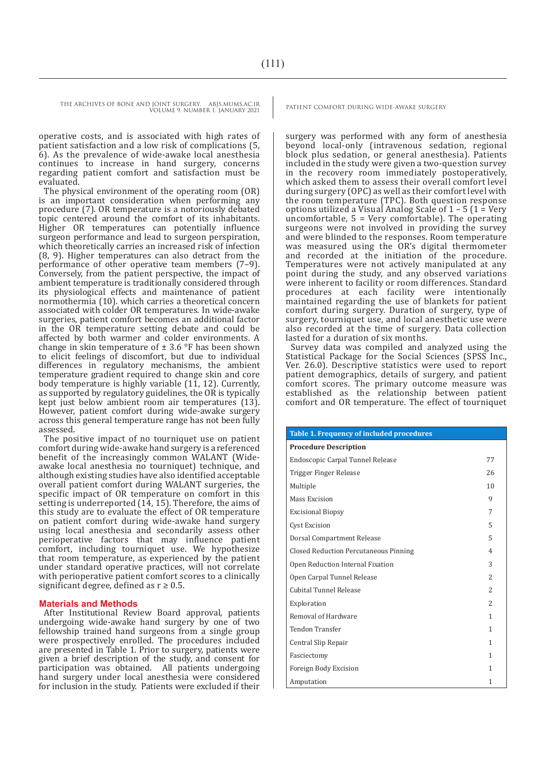THE ARCHIVES OF BONE AND JOINT SURGERY. ABJS.MUMS.AC.IR PATIENT COMFORT DURING WIDE-AWAKE SURGERY

VOLUME 9. NUMBER 1. JANUARY 2021

operative costs, and is associated with high rates of patient satisfaction and a low risk of complications (5, 6). As the prevalence of wide-awake local anesthesia continues to increase in hand surgery, concerns regarding patient comfort and satisfaction must be evaluated.

The physical environment of the operating room (OR) is an important consideration when performing any procedure (7). OR temperature is a notoriously debated topic centered around the comfort of its inhabitants. Higher OR temperatures can potentially influence surgeon performance and lead to surgeon perspiration, which theoretically carries an increased risk of infection (8, 9). Higher temperatures can also detract from the performance of other operative team members (7–9). Conversely, from the patient perspective, the impact of ambient temperature is traditionally considered through its physiological effects and maintenance of patient normothermia (10). which carries a theoretical concern associated with colder OR temperatures. In wide-awake surgeries, patient comfort becomes an additional factor in the OR temperature setting debate and could be affected by both warmer and colder environments. A change in skin temperature of  $\pm$  3.6 °F has been shown to elicit feelings of discomfort, but due to individual differences in regulatory mechanisms, the ambient temperature gradient required to change skin and core body temperature is highly variable  $(1\bar{1}, 12)$ . Currently, as supported by regulatory guidelines, the OR is typically kept just below ambient room air temperatures (13). However, patient comfort during wide-awake surgery across this general temperature range has not been fully assessed.

The positive impact of no tourniquet use on patient comfort during wide-awake hand surgery is a referenced benefit of the increasingly common WALANT (Wideawake local anesthesia no tourniquet) technique, and although existing studies have also identified acceptable overall patient comfort during WALANT surgeries, the specific impact of OR temperature on comfort in this setting is underreported (14, 15). Therefore, the aims of this study are to evaluate the effect of OR temperature on patient comfort during wide-awake hand surgery using local anesthesia and secondarily assess other perioperative factors that may influence patient comfort, including tourniquet use. We hypothesize that room temperature, as experienced by the patient under standard operative practices, will not correlate with perioperative patient comfort scores to a clinically significant degree, defined as  $r \geq 0.5$ .

#### **Materials and Methods**

After Institutional Review Board approval, patients undergoing wide-awake hand surgery by one of two fellowship trained hand surgeons from a single group were prospectively enrolled. The procedures included are presented in Table 1. Prior to surgery, patients were given a brief description of the study, and consent for participation was obtained. All patients undergoing hand surgery under local anesthesia were considered for inclusion in the study. Patients were excluded if their

surgery was performed with any form of anesthesia beyond local-only (intravenous sedation, regional block plus sedation, or general anesthesia). Patients included in the study were given a two-question survey in the recovery room immediately postoperatively, which asked them to assess their overall comfort level during surgery (OPC) as well as their comfort level with the room temperature (TPC). Both question response options utilized a Visual Analog Scale of  $1 - 5$  ( $1 = \text{Very}}$ uncomfortable, 5 = Very comfortable). The operating surgeons were not involved in providing the survey and were blinded to the responses. Room temperature was measured using the OR's digital thermometer and recorded at the initiation of the procedure. Temperatures were not actively manipulated at any point during the study, and any observed variations were inherent to facility or room differences. Standard procedures at each facility were intentionally maintained regarding the use of blankets for patient comfort during surgery. Duration of surgery, type of surgery, tourniquet use, and local anesthetic use were also recorded at the time of surgery. Data collection lasted for a duration of six months.

Survey data was compiled and analyzed using the Statistical Package for the Social Sciences (SPSS Inc., Ver. 26.0). Descriptive statistics were used to report patient demographics, details of surgery, and patient comfort scores. The primary outcome measure was established as the relationship between patient comfort and OR temperature. The effect of tourniquet

| <b>Table 1. Frequency of included procedures</b> |                |  |  |  |  |  |
|--------------------------------------------------|----------------|--|--|--|--|--|
| <b>Procedure Description</b>                     |                |  |  |  |  |  |
| Endoscopic Carpal Tunnel Release                 |                |  |  |  |  |  |
| Trigger Finger Release                           | 26             |  |  |  |  |  |
| Multiple                                         | 10             |  |  |  |  |  |
| Mass Excision                                    | 9              |  |  |  |  |  |
| <b>Excisional Biopsy</b>                         | 7              |  |  |  |  |  |
| <b>Cyst Excision</b>                             | 5              |  |  |  |  |  |
| Dorsal Compartment Release                       | 5              |  |  |  |  |  |
| <b>Closed Reduction Percutaneous Pinning</b>     | $\overline{4}$ |  |  |  |  |  |
| Open Reduction Internal Fixation                 | 3              |  |  |  |  |  |
| Open Carpal Tunnel Release                       | $\overline{2}$ |  |  |  |  |  |
| Cubital Tunnel Release                           | $\mathcal{L}$  |  |  |  |  |  |
| Exploration                                      | $\overline{2}$ |  |  |  |  |  |
| Removal of Hardware                              | 1              |  |  |  |  |  |
| <b>Tendon Transfer</b>                           | 1              |  |  |  |  |  |
| Central Slip Repair                              | 1              |  |  |  |  |  |
| Fasciectomy                                      | $\mathbf{1}$   |  |  |  |  |  |
| Foreign Body Excision                            | 1              |  |  |  |  |  |
| Amputation                                       | 1              |  |  |  |  |  |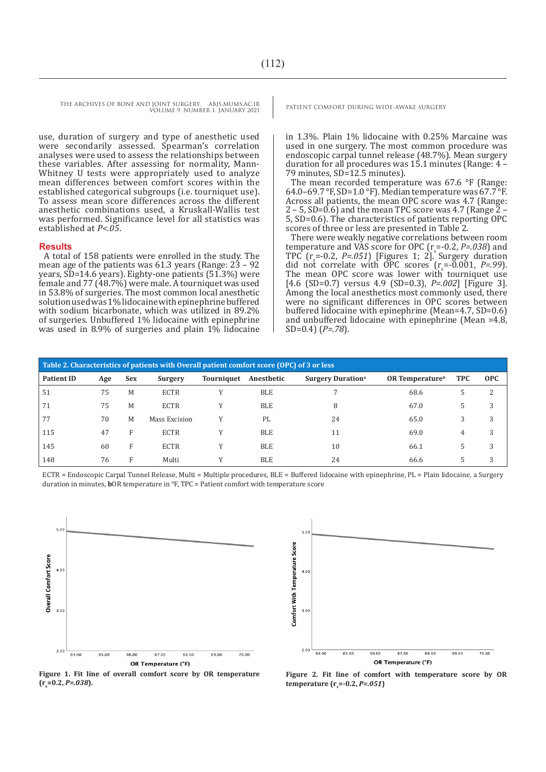use, duration of surgery and type of anesthetic used were secondarily assessed. Spearman's correlation analyses were used to assess the relationships between these variables. After assessing for normality, Mann-Whitney U tests were appropriately used to analyze mean differences between comfort scores within the established categorical subgroups (i.e. tourniquet use). To assess mean score differences across the different anesthetic combinations used, a Kruskall-Wallis test was performed. Significance level for all statistics was established at *P<.05*.

#### **Results**

A total of 158 patients were enrolled in the study. The mean age of the patients was  $61.3$  years (Range:  $23 - 92$ years, SD=14.6 years). Eighty-one patients (51.3%) were female and 77 (48.7%) were male. A tourniquet was used in 53.8% of surgeries. The most common local anesthetic solution used was 1% lidocaine with epinephrine buffered with sodium bicarbonate, which was utilized in 89.2% of surgeries. Unbuffered 1% lidocaine with epinephrine was used in 8.9% of surgeries and plain 1% lidocaine

in 1.3%. Plain 1% lidocaine with 0.25% Marcaine was used in one surgery. The most common procedure was endoscopic carpal tunnel release (48.7%). Mean surgery duration for all procedures was 15.1 minutes (Range: 4 – 79 minutes, SD=12.5 minutes).

The mean recorded temperature was 67.6 °F (Range: 64.0–69.7 °F, SD=1.0 °F). Median temperature was 67.7 °F. Across all patients, the mean OPC score was 4.7 (Range: 2 – 5, SD=0.6) and the mean TPC score was 4.7 (Range 2 – 5, SD=0.6). The characteristics of patients reporting OPC scores of three or less are presented in Table 2.

There were weakly negative correlations between room temperature and VAS score for OPC  $(r = -0.2, P = .038)$  and<br>TPC  $(r = 0.2, P = .051)$  [Figures 4, 2]<sup>s</sup> Surgery duration TPC  $(r = -0.2, P = .051)$  [Figures 1; 2]. Surgery duration did not correlate with OPC scores  $(r_s = 0.001, P = .99)$ . The mean OPC score was lower with tourniquet use [4.6 (SD=0.7) versus 4.9 (SD=0.3), *P=.002*] [Figure 3]. Among the local anesthetics most commonly used, there were no significant differences in OPC scores between buffered lidocaine with epinephrine (Mean=4.7, SD=0.6) and unbuffered lidocaine with epinephrine (Mean =4.8, SD=0.4) (*P=.78*).

| Table 2. Characteristics of patients with Overall patient comfort score (OPC) of 3 or less |     |            |               |            |            |                                      |                             |            |            |  |  |
|--------------------------------------------------------------------------------------------|-----|------------|---------------|------------|------------|--------------------------------------|-----------------------------|------------|------------|--|--|
| <b>Patient ID</b>                                                                          | Age | <b>Sex</b> | Surgery       | Tourniquet | Anesthetic | <b>Surgery Duration</b> <sup>a</sup> | OR Temperature <sup>b</sup> | <b>TPC</b> | <b>OPC</b> |  |  |
| 51                                                                                         | 75  | M          | <b>ECTR</b>   |            | <b>BLE</b> |                                      | 68.6                        | 5.         | 2          |  |  |
| 71                                                                                         | 75  | M          | <b>ECTR</b>   |            | <b>BLE</b> | 8                                    | 67.0                        | 5.         | 3          |  |  |
| 77                                                                                         | 70  | M          | Mass Excision |            | PL         | 24                                   | 65.0                        | 3          | 3          |  |  |
| 115                                                                                        | 47  | F          | <b>ECTR</b>   | v          | <b>BLE</b> | 11                                   | 69.0                        | 4          | 3          |  |  |
| 145                                                                                        | 60  | F          | <b>ECTR</b>   |            | <b>BLE</b> | 10                                   | 66.1                        | 5.         | 3          |  |  |
| 148                                                                                        | 76  | F          | Multi         |            | <b>BLE</b> | 24                                   | 66.6                        | 5.         | 3          |  |  |

ECTR = Endoscopic Carpal Tunnel Release, Multi = Multiple procedures, BLE = Buffered lidocaine with epinephrine, PL = Plain lidocaine, a Surgery duration in minutes, **b**OR temperature in °F, TPC = Patient comfort with temperature score





**Figure 1. Fit line of overall comfort score by OR temperature (rs =0.2,** *P=.038***).**

**Figure 2. Fit line of comfort with temperature score by OR temperature (r<sub>s</sub>=-0.2,** *P=.051***)**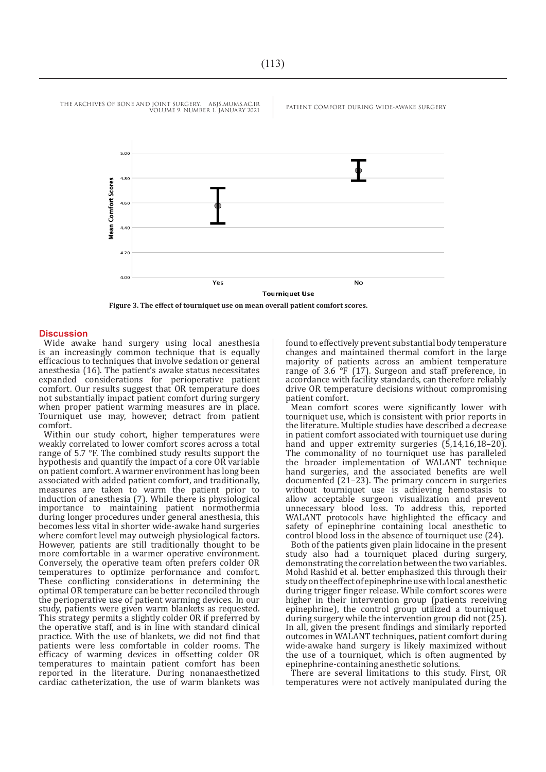

**Figure 3. The effect of tourniquet use on mean overall patient comfort scores.**

#### **Discussion**

Wide awake hand surgery using local anesthesia is an increasingly common technique that is equally efficacious to techniques that involve sedation or general anesthesia (16). The patient's awake status necessitates expanded considerations for perioperative patient comfort. Our results suggest that OR temperature does not substantially impact patient comfort during surgery when proper patient warming measures are in place. Tourniquet use may, however, detract from patient comfort.

Within our study cohort, higher temperatures were weakly correlated to lower comfort scores across a total range of 5.7 °F. The combined study results support the hypothesis and quantify the impact of a core OR variable on patient comfort. A warmer environment has long been associated with added patient comfort, and traditionally, measures are taken to warm the patient prior to induction of anesthesia (7). While there is physiological importance to maintaining patient normothermia during longer procedures under general anesthesia, this becomes less vital in shorter wide-awake hand surgeries where comfort level may outweigh physiological factors. However, patients are still traditionally thought to be more comfortable in a warmer operative environment. Conversely, the operative team often prefers colder OR temperatures to optimize performance and comfort. These conflicting considerations in determining the optimal OR temperature can be better reconciled through the perioperative use of patient warming devices. In our study, patients were given warm blankets as requested. This strategy permits a slightly colder OR if preferred by the operative staff, and is in line with standard clinical practice. With the use of blankets, we did not find that patients were less comfortable in colder rooms. The efficacy of warming devices in offsetting colder OR temperatures to maintain patient comfort has been reported in the literature. During nonanaesthetized cardiac catheterization, the use of warm blankets was

found to effectively prevent substantial body temperature changes and maintained thermal comfort in the large majority of patients across an ambient temperature range of 3.6 °F (17). Surgeon and staff preference, in accordance with facility standards, can therefore reliably drive OR temperature decisions without compromising patient comfort.

Mean comfort scores were significantly lower with tourniquet use, which is consistent with prior reports in the literature. Multiple studies have described a decrease in patient comfort associated with tourniquet use during hand and upper extremity surgeries  $(5,14,16,18-20)$ . The commonality of no tourniquet use has paralleled the broader implementation of WALANT technique hand surgeries, and the associated benefits are well documented (21–23). The primary concern in surgeries without tourniquet use is achieving hemostasis to allow acceptable surgeon visualization and prevent unnecessary blood loss. To address this, reported WALANT protocols have highlighted the efficacy and safety of epinephrine containing local anesthetic to control blood loss in the absence of tourniquet use (24).

Both of the patients given plain lidocaine in the present study also had a tourniquet placed during surgery, demonstrating the correlation between the two variables. Mohd Rashid et al. better emphasized this through their study on the effect of epinephrine use with local anesthetic during trigger finger release. While comfort scores were higher in their intervention group (patients receiving epinephrine), the control group utilized a tourniquet during surgery while the intervention group did not (25). In all, given the present findings and similarly reported outcomes in WALANT techniques, patient comfort during wide-awake hand surgery is likely maximized without the use of a tourniquet, which is often augmented by epinephrine-containing anesthetic solutions.

There are several limitations to this study. First, OR temperatures were not actively manipulated during the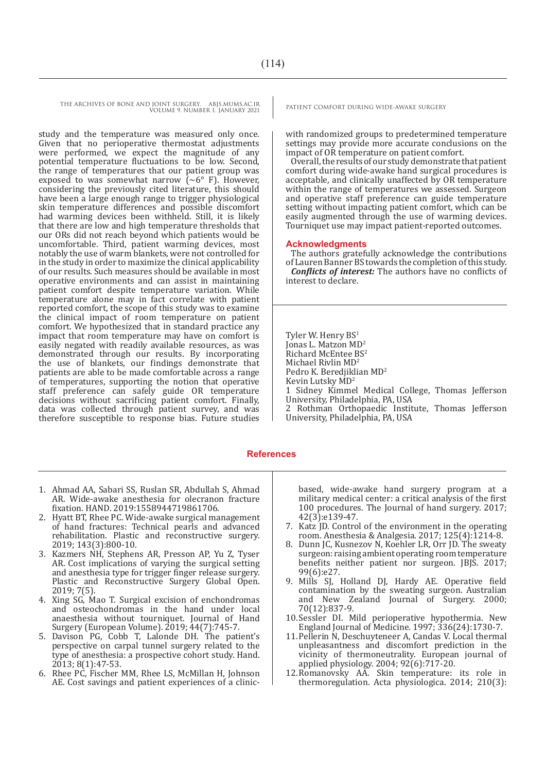study and the temperature was measured only once. Given that no perioperative thermostat adjustments were performed, we expect the magnitude of any potential temperature fluctuations to be low. Second, the range of temperatures that our patient group was exposed to was somewhat narrow  $({\sim}6^{\circ}$  F). However, considering the previously cited literature, this should have been a large enough range to trigger physiological skin temperature differences and possible discomfort had warming devices been withheld. Still, it is likely that there are low and high temperature thresholds that our ORs did not reach beyond which patients would be uncomfortable. Third, patient warming devices, most notably the use of warm blankets, were not controlled for in the study in order to maximize the clinical applicability of our results. Such measures should be available in most operative environments and can assist in maintaining patient comfort despite temperature variation. While temperature alone may in fact correlate with patient reported comfort, the scope of this study was to examine the clinical impact of room temperature on patient comfort. We hypothesized that in standard practice any impact that room temperature may have on comfort is easily negated with readily available resources, as was demonstrated through our results. By incorporating the use of blankets, our findings demonstrate that patients are able to be made comfortable across a range of temperatures, supporting the notion that operative staff preference can safely guide OR temperature decisions without sacrificing patient comfort. Finally, data was collected through patient survey, and was therefore susceptible to response bias. Future studies

1. Ahmad AA, Sabari SS, Ruslan SR, Abdullah S, Ahmad AR. Wide-awake anesthesia for olecranon fracture fixation. HAND. 2019:1558944719861706.

- 2. Hyatt BT, Rhee PC. Wide-awake surgical management of hand fractures: Technical pearls and advanced rehabilitation. Plastic and reconstructive surgery. 2019; 143(3):800-10.
- 3. Kazmers NH, Stephens AR, Presson AP, Yu Z, Tyser AR. Cost implications of varying the surgical setting and anesthesia type for trigger finger release surgery. Plastic and Reconstructive Surgery Global Open. 2019; 7(5).
- 4. Xing SG, Mao T. Surgical excision of enchondromas and osteochondromas in the hand under local anaesthesia without tourniquet. Journal of Hand Surgery (European Volume). 2019; 44(7):745-7.
- 5. Davison PG, Cobb T, Lalonde DH. The patient's perspective on carpal tunnel surgery related to the type of anesthesia: a prospective cohort study. Hand. 2013; 8(1):47-53.
- 6. Rhee PC, Fischer MM, Rhee LS, McMillan H, Johnson AE. Cost savings and patient experiences of a clinic-

with randomized groups to predetermined temperature settings may provide more accurate conclusions on the impact of OR temperature on patient comfort.

Overall, the results of our study demonstrate that patient comfort during wide-awake hand surgical procedures is acceptable, and clinically unaffected by OR temperature within the range of temperatures we assessed. Surgeon and operative staff preference can guide temperature setting without impacting patient comfort, which can be easily augmented through the use of warming devices. Tourniquet use may impact patient-reported outcomes.

#### **Acknowledgments**

The authors gratefully acknowledge the contributions of Lauren Banner BS towards the completion of this study. *Conflicts of interest:* The authors have no conflicts of interest to declare.

Tyler W. Henry BS<sup>1</sup> Jonas L. Matzon MD<sup>2</sup> Richard McEntee BS<sup>2</sup> Michael Rivlin MD<sup>2</sup> Pedro K. Beredjiklian MD<sup>2</sup> Kevin Lutsky MD<sup>2</sup> 1 Sidney Kimmel Medical College, Thomas Jefferson University, Philadelphia, PA, USA 2 Rothman Orthopaedic Institute, Thomas Jefferson

University, Philadelphia, PA, USA

#### **References**

based, wide-awake hand surgery program at a military medical center: a critical analysis of the first 100 procedures. The Journal of hand surgery. 2017; 42(3):e139-47.

- 7. Katz JD. Control of the environment in the operating room. Anesthesia & Analgesia. 2017; 125(4):1214-8.
- 8. Dunn JC, Kusnezov N, Koehler LR, Orr JD. The sweaty surgeon: raising ambient operating room temperature benefits neither patient nor surgeon. JBJS. 2017; 99(6):e27.
- 9. Mills SJ, Holland DJ, Hardy AE. Operative field contamination by the sweating surgeon. Australian and New Zealand Journal of Surgery. 2000; 70(12):837-9.
- 10.Sessler DI. Mild perioperative hypothermia. New England Journal of Medicine. 1997; 336(24):1730-7.
- 11.Pellerin N, Deschuyteneer A, Candas V. Local thermal unpleasantness and discomfort prediction in the vicinity of thermoneutrality. European journal of applied physiology. 2004; 92(6):717-20.
- 12.Romanovsky AA. Skin temperature: its role in thermoregulation. Acta physiologica. 2014; 210(3):